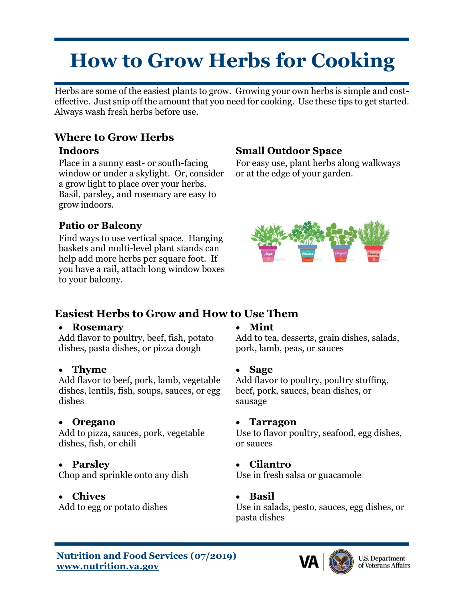# **How to Grow Herbs for Cooking**

Herbs are some of the easiest plants to grow. Growing your own herbs is simple and costeffective. Just snip off the amount that you need for cooking. Use these tips to get started. Always wash fresh herbs before use.

# **Where to Grow Herbs**

## **Indoors**

Place in a sunny east- or south-facing window or under a skylight. Or, consider a grow light to place over your herbs. Basil, parsley, and rosemary are easy to grow indoors.

# **Patio or Balcony**

Find ways to use vertical space. Hanging baskets and multi-level plant stands can help add more herbs per square foot. If you have a rail, attach long window boxes to your balcony.

# **Small Outdoor Space**

For easy use, plant herbs along walkways or at the edge of your garden.



# **Easiest Herbs to Grow and How to Use Them**

#### • **Rosemary**

Add flavor to poultry, beef, fish, potato dishes, pasta dishes, or pizza dough

#### • **Thyme**

Add flavor to beef, pork, lamb, vegetable dishes, lentils, fish, soups, sauces, or egg dishes

#### • **Oregano**

Add to pizza, sauces, pork, vegetable dishes, fish, or chili

#### • **Parsley**

Chop and sprinkle onto any dish

# • **Chives**

Add to egg or potato dishes

#### • **Mint**

Add to tea, desserts, grain dishes, salads, pork, lamb, peas, or sauces

#### • **Sage**

Add flavor to poultry, poultry stuffing, beef, pork, sauces, bean dishes, or sausage

#### • **Tarragon**

Use to flavor poultry, seafood, egg dishes, or sauces

# • **Cilantro**

Use in fresh salsa or guacamole

# • **Basil**

Use in salads, pesto, sauces, egg dishes, or pasta dishes